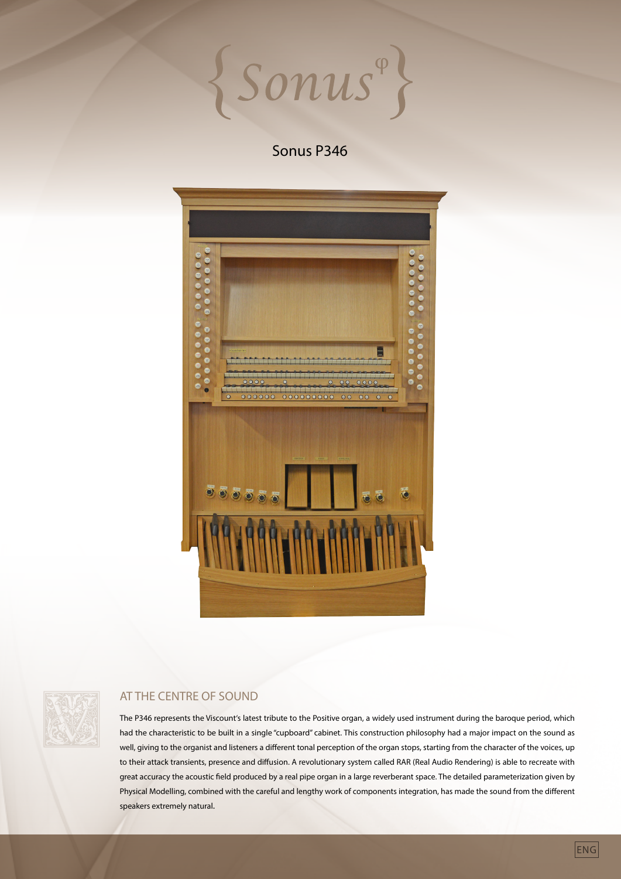Sonus

# Sonus P346





# AT THE CENTRE OF SOUND

The P346 represents the Viscount's latest tribute to the Positive organ, a widely used instrument during the baroque period, which had the characteristic to be built in a single "cupboard" cabinet. This construction philosophy had a major impact on the sound as well, giving to the organist and listeners a different tonal perception of the organ stops, starting from the character of the voices, up to their attack transients, presence and diffusion. A revolutionary system called RAR (Real Audio Rendering) is able to recreate with great accuracy the acoustic field produced by a real pipe organ in a large reverberant space. The detailed parameterization given by Physical Modelling, combined with the careful and lengthy work of components integration, has made the sound from the different speakers extremely natural.